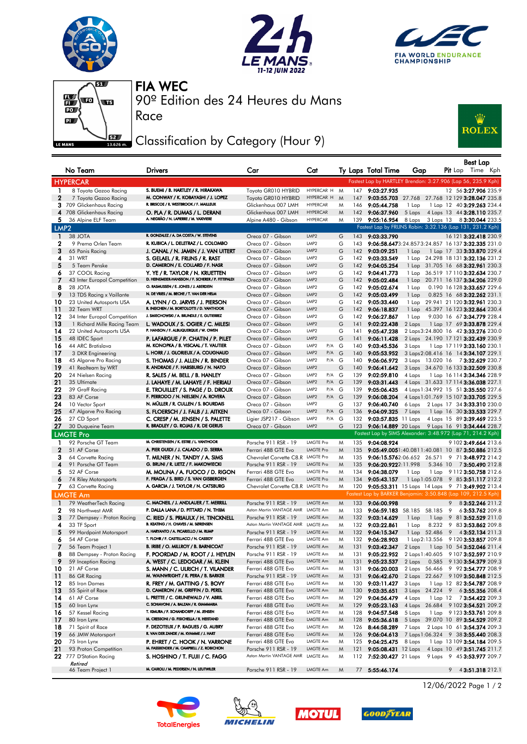







Race

90º Edition des 24 Heures du Mans FIA WEC

## Classification by Category (Hour 9)



|                       | No Team                                                 | <b>Drivers</b>                                                                        | Car                                                      | Cat                                        |        |            | Ty Laps Total Time                                                        | Gap            |          |                | Best Lap<br>Pit Lap Time Kph                                       |  |
|-----------------------|---------------------------------------------------------|---------------------------------------------------------------------------------------|----------------------------------------------------------|--------------------------------------------|--------|------------|---------------------------------------------------------------------------|----------------|----------|----------------|--------------------------------------------------------------------|--|
|                       | <b>HYPERCAR</b>                                         |                                                                                       |                                                          |                                            |        |            | Fastest Lap by HARTLEY Brendon: 3:27.906 (Lap 56, 235.9 Kph)              |                |          |                |                                                                    |  |
| 1.                    | 8 Toyota Gazoo Racing                                   | S. BUEMI / B. HARTLEY / R. HIRAKAWA                                                   | Toyota GR010 HYBRID                                      | HYPERCAR H M                               |        | 147        | 9:03:27.935                                                               |                |          |                | 12 56 3:27.906 235.9                                               |  |
| $\mathbf{2}$          | 7 Toyota Gazoo Racing                                   | M. CONWAY / K. KOBAYASHI / J. LOPEZ                                                   | Toyota GR010 HYBRID                                      | HYPERCAR H                                 | M      | 147        | 9:03:55.703 27.768 27.768 12 129 3:28.047 235.8                           |                |          |                |                                                                    |  |
|                       | 3 709 Glickenhaus Racing                                | R. BRISCOE / R. WESTBROOK / F. MAILLEUX                                               | Glickenhaus 007 LMH                                      | <b>HYPERCAR</b>                            | M      | 146        | 9:05:44.758                                                               | 1 Lap          |          |                | 1 Lap 12 40 3:29.263 234.4                                         |  |
| 4                     | 708 Glickenhaus Racing                                  | O. PLA / R. DUMAS / L. DERANI<br>A. NEGRÃO / N. LAPIERRE / M. VAXIVIERE               | Glickenhaus 007 LMH                                      | <b>HYPERCAR</b>                            | M      | 142        | 9:06:37.960                                                               | 5 Laps         |          |                | 4 Laps 13 44 3:28.110 235.7                                        |  |
| 5                     | 36 Alpine ELF Team                                      |                                                                                       | Alpine A480 - Gibson                                     | <b>HYPERCAR</b>                            | M      | 139        | 9:05:16.954<br>Fastest Lap by FRIJNS Robin: 3:32.136 (Lap 131, 231.2 Kph) | 8 Laps         |          |                | 3 Laps 13 8 3:30.044 233.5                                         |  |
| 1                     | LMP <sub>2</sub><br>38 JOTA                             | R. GONZALEZ / A. DA COSTA / W. STEVENS                                                | Oreca 07 - Gibson                                        | LMP2                                       | G      | 143        | 9:03:33.790                                                               |                |          |                | 16 121 3:32.418 230.9                                              |  |
| 2                     | 9 Prema Orlen Team                                      | R. KUBICA / L. DELETRAZ / L. COLOMBO                                                  | Oreca 07 - Gibson                                        | LMP2                                       | G      | 143        | 9:06:58.6473:24.8573:24.857 16 137 3:32.335 231.0                         |                |          |                |                                                                    |  |
| 3                     | 65 Panis Racing                                         | J. CANAL / N. JAMIN / J. VAN UITERT                                                   | Oreca 07 - Gibson                                        | LMP2                                       | G      | 142        | 9:03:09.251                                                               | 1 Lap          |          |                | 1 Lap 17 33 3:33.870 229.4                                         |  |
| 4                     | 31 WRT                                                  | S. GELAEL / R. FRIJNS / R. RAST                                                       | Oreca 07 - Gibson                                        | LMP <sub>2</sub>                           | G      | 142        | 9:03:33.549                                                               |                |          |                | 1 Lap 24.298 18 131 3:32.136 231.2                                 |  |
| 5                     | 5 Team Penske                                           | D. CAMERON / E. COLLARD / F. NASR                                                     | Oreca 07 - Gibson                                        | LMP2                                       | G      | 142        | 9:04:05.254                                                               |                |          |                | 1 Lap 31.705 16 68 3:32.961 230.3                                  |  |
| 6<br>7                | 37 COOL Racing                                          | Y. YE / R. TAYLOR / N. KRUETTEN<br>D. HEINEMEIER-HANSSON / F. SCHERER / P. FITTIPALDI | Oreca 07 - Gibson                                        | LMP <sub>2</sub><br>LMP2                   | G      | 142        | 9:04:41.773                                                               | 1 Lap          |          |                | 36.519 17 110 3:32.634 230.7                                       |  |
| 8                     | 43 Inter Europol Competition<br>28 JOTA                 | O. RASMUSSEN / E. JONES / J. ABERDEIN                                                 | Oreca 07 - Gibson<br>Oreca 07 - Gibson                   | LMP <sub>2</sub>                           | G<br>G | 142<br>142 | 9:05:02.484<br>9:05:02.674                                                | 1 Lap<br>1 Lap |          |                | 20.711 16 137 3:34.206 229.0<br>0.190 16 128 3:33.657 229.6        |  |
| 9                     | 13 TDS Racing x Vaillante                               | N. DE VRIES / M. BECHE / T. VAN DER HELM                                              | Oreca 07 - Gibson                                        | LMP2                                       | G      | 142        | 9:05:03.499                                                               | 1 Lap          |          |                | 0.825 16 68 3:32.262 231.1                                         |  |
| 10                    | 23 United Autosports USA                                | A. LYNN / O. JARVIS / J. PIERSON                                                      | Oreca 07 - Gibson                                        | LMP2                                       | G      | 142        | 9:05:33.440                                                               | 1 Lap          |          |                | 29.941 21 120 3:32.961 230.3                                       |  |
| 11                    | 32 Team WRT                                             | R. INEICHEN / M. BORTOLOTTI / D. VANTHOOR                                             | Oreca 07 - Gibson                                        | LMP2                                       | G      | 142        | 9:06:18.837                                                               | 1 Lap          |          |                | 45.397 16 123 3:32.864 230.4                                       |  |
| 12                    | 34 Inter Europol Competition                            | J. SMIECHOWSKI / A. BRUNDLE / E. GUTIERREZ                                            | Oreca 07 - Gibson                                        | LMP <sub>2</sub>                           | G      | 142        | 9:06:27.867                                                               | 1 Lap          |          |                | 9.030 16 67 3:34.779 228.4                                         |  |
| 13<br>14              | 1 Richard Mille Racing Team<br>22 United Autosports USA | L. WADOUX / S. OGIER / C. MILESI<br>P. HANSON / F. ALBUQUERQUE / W. OWEN              | Oreca 07 - Gibson<br>Oreca 07 - Gibson                   | LMP2<br>LMP <sub>2</sub>                   | G<br>G | 141<br>141 | 9:02:22.438<br>9:05:47.238                                                | 2 Laps         |          |                | 1 Lap 17 69 3:33.878 229.4<br>2 Laps 3:24.800 16 42 3:33.276 230.0 |  |
| 15                    | 48 IDEC Sport                                           | P. LAFARGUE / P. CHATIN / P. PILET                                                    | Oreca 07 - Gibson                                        | LMP2                                       | G      | 141        | 9:06:11.428                                                               |                |          |                | 2 Laps 24.190 17 121 3:32.439 230.9                                |  |
| 16                    | 44 ARC Bratislava                                       | M. KONOPKA / B. VISCAAL / T. VAUTIER                                                  | Oreca 07 - Gibson                                        | LMP <sub>2</sub><br>$P/A$ G                |        | 140        | 9:03:45.536                                                               | 3 Laps         |          |                | 1 Lap 17 119 3:33.160 230.1                                        |  |
| 17                    | 3 DKR Engineering                                       | L. HORR / J. GLORIEUX / A. COUGNAUD                                                   | Oreca 07 - Gibson                                        | LMP <sub>2</sub><br>P/A G                  |        | 140        | 9:05:53.952                                                               |                |          |                | 3 Laps 2:08.416 16 14 3:34.107 229.1                               |  |
| 18                    | 45 Algarve Pro Racing                                   | S. THOMAS / J. ALLEN / R. BINDER                                                      | Oreca 07 - Gibson                                        | LMP <sub>2</sub><br>P/A G                  |        | 140        | 9:06:06.972                                                               |                |          |                | 3 Laps 13.020 16 73:32.629 230.7                                   |  |
| 19                    | 41 Realteam by WRT                                      | R. ANDRADE / F. HABSBURG / N. NATO                                                    | Oreca 07 - Gibson                                        | LMP2                                       | G      | 140        | 9:06:41.642                                                               |                |          |                | 3 Laps 34.670 16 133 3:32.509 230.8                                |  |
| 20<br>21              | 24 Nielsen Racing<br>35 Ultimate                        | R. SALES / M. BELL / B. HANLEY<br>J. LAHAYE / M. LAHAYE / F. HERIAU                   | Oreca 07 - Gibson<br>Oreca 07 - Gibson                   | LMP <sub>2</sub><br>P/A G<br>LMP2<br>P/A G |        | 139<br>139 | 9:02:59.810<br>9:03:31.443                                                | 4 Laps         |          |                | 1 Lap 16 114 3:34.346 228.9<br>4 Laps 31.633 17 114 3:36.038 227.1 |  |
| 22                    | 39 Graff Racing                                         | E. TROUILLET / S. PAGE / D. DROUX                                                     | Oreca 07 - Gibson                                        | LMP <sub>2</sub><br>$P/A$ G                |        | 139        | 9:05:06.435                                                               |                |          |                | 4 Laps 1:34.992 15 51 3:35.550 227.6                               |  |
| 23                    | 83 AF Corse                                             | F. PERRODO / N. NIELSEN / A. ROVERA                                                   | Oreca 07 - Gibson                                        | LMP2<br>P/A G                              |        | 139        | 9:06:08.204                                                               |                |          |                | 4 Laps 1:01.769 15 107 3:33.705 229.5                              |  |
| 24                    | 10 Vector Sport                                         | N. MÜLLER / R. CULLEN / S. BOURDAIS                                                   | Oreca 07 - Gibson                                        | LMP <sub>2</sub>                           | G      | 137        | 9:06:40.740                                                               | 6 Laps         |          |                | 2 Laps 17 34 3:33.310 230.0                                        |  |
| 25                    | 47 Algarve Pro Racing                                   | S. FLOERSCH / J. FALB / J. AITKEN                                                     | Oreca 07 - Gibson                                        | $P/A$ $G$<br>LMP <sub>2</sub>              |        | 136        | 9:04:09.325                                                               | 7 Laps         |          |                | 1 Lap 16 30 3:33.533 229.7                                         |  |
| 26<br>27              | 27 CD Sport<br>30 Duqueine Team                         | C. CRESP / M. JENSEN / S. PALETTE<br>R. BRADLEY / G. ROJAS / R. DE GERUS              | Ligier JSP217 - Gibson<br>Oreca 07 - Gibson              | LMP2<br>P/A G<br>LMP <sub>2</sub>          | G      | 132<br>123 | $9:03:57.835$ 11 Laps<br>9:06:14.889 20 Laps 9 Laps 16 91 3:34.444 228.7  |                |          |                | 4 Laps 15 89 3:39.469 223.5                                        |  |
|                       | <b>LMGTE Pro</b>                                        |                                                                                       |                                                          |                                            |        |            | Fastest Lap by SIMS Alexander: 3:48.972 (Lap 71, 214.2 Kph)               |                |          |                |                                                                    |  |
| 1                     | 92 Porsche GT Team                                      | M. CHRISTENSEN / K. ESTRE / L. VANTHOOR                                               | Porsche 911 RSR - 19                                     | <b>LMGTE Pro</b>                           | M      | 135        | 9:04:08.924                                                               |                |          |                | 9 102 3:49.664 213.6                                               |  |
| $\mathbf{2}$          | 51 AF Corse                                             | A. PIER GUIDI / J. CALADO / D. SERRA                                                  | Ferrari 488 GTE Evo                                      | <b>LMGTE Pro</b>                           | M      | 135        | 9:05:49.0051:40.081 1:40.081 10 87 3:50.886 212.5                         |                |          |                |                                                                    |  |
| З                     | 64 Corvette Racing                                      | T. MILNER / N. TANDY / A. SIMS                                                        | Chevrolet Corvette C8.R LMGTE Pro                        |                                            | M      | 135        | 9:06:15.5762:06.652 26.571 9 71 3:48.972 214.2                            |                |          |                |                                                                    |  |
| 4                     | 91 Porsche GT Team                                      | G. BRUNI / R. LIETZ / F. MAKOWIECKI                                                   | Porsche 911 RSR - 19                                     | <b>LMGTE Pro</b>                           | M      | 135        | 9:06:20.9222:11.998                                                       |                | 5.346 10 |                | 73:50.490 212.8                                                    |  |
| 5                     | 52 AF Corse                                             | M. MOLINA / A. FUOCO / D. RIGON<br>F. FRAGA / S. BIRD / S. VAN GISBERGEN              | Ferrari 488 GTE Evo                                      | <b>LMGTE Pro</b><br><b>LMGTE Pro</b>       | M      | 134        | 9:04:38.079                                                               | 1 Lap          |          |                | 1 Lap 9 112 3:50.758 212.6                                         |  |
| 6<br>7                | 74 Riley Motorsports<br>63 Corvette Racing              | A. GARCIA / J. TAYLOR / N. CATSBURG                                                   | Ferrari 488 GTE Evo<br>Chevrolet Corvette C8.R LMGTE Pro |                                            | M<br>M | 134        | 9:05:43.157<br>120 9:05:53.311 15 Laps 14 Laps 9 71 3:49.902 213.4        |                |          |                | 1 Lap 1:05.078 9 85 3:51.117 212.2                                 |  |
|                       | <b>LMGTE Am</b>                                         |                                                                                       |                                                          |                                            |        |            | Fastest Lap by BARKER Benjamin: 3:50.848 (Lap 109, 212.5 Kph)             |                |          |                |                                                                    |  |
| $\mathbf{1}$          | 79 WeatherTech Racing                                   | C. MACNEIL / J. ANDLAUER / T. MERRILL                                                 | Porsche 911 RSR - 19                                     | LMGTE Am                                   | W      | 133        | 9:06:00.998                                                               |                |          | 9              | 83:52.246 211.2                                                    |  |
| 2                     | 98 Northwest AMR                                        | P. DALLA LANA / D. PITTARD / N. THIM                                                  | Aston Martin VANTAGE AMR LMGTE Am                        |                                            | M      | 133        | 9:06:59.183 58.185 58.185                                                 |                |          | 9              | 63:53.762 209.8                                                    |  |
| 3                     | 77 Dempsey - Proton Racing                              | C. RIED / S. PRIAULX / H. TINCKNELL                                                   | Porsche 911 RSR - 19                                     | LMGTE Am                                   | M      | 132        | 9:03:14.629                                                               | 1 Lap          | 1 Lap    |                | 9 81 3:52.529 211.0                                                |  |
| 4                     | 33 TF Sport                                             | B. KEATING / H. CHAVES / M. SØRENSEN<br>A. HARYANTO / A. PICARIELLO / M. RUMP         | Aston Martin VANTAGE AMR LMGTE Am                        |                                            | M      | 132        | 9:03:22.861                                                               | 1 Lap          | 8.232    |                | 9 83 3:53.862 209.8                                                |  |
| 5<br>6                | 99 Hardpoint Motorsport<br>54 AF Corse                  | T. FLOHR / F. CASTELLACCI / N. CASSIDY                                                | Porsche 911 RSR - 19<br>Ferrari 488 GTE Evo              | LMGTE Am<br>LMGTE Am                       | M<br>M | 132<br>132 | 9:04:15.347<br>9:06:28.903                                                | 1 Lap 52.486   |          | 9 <sup>7</sup> | 4 3:52.134 211.3<br>1 Lap 2:13.556 9 120 3:53.857 209.8            |  |
| 7                     | 56 Team Project 1                                       | B. IRIBE / O. MILLROY / B. BARNICOAT                                                  | Porsche 911 RSR - 19                                     | LMGTE Am                                   | M      | 131        | 9:03:42.347                                                               | 2 Laps         |          |                | 1 Lap 10 54 3:52.046 211.4                                         |  |
| 8                     | 88 Dempsey - Proton Racing                              | F. POORDAD / M. ROOT / J. HEYLEN                                                      | Porsche 911 RSR - 19                                     | LMGTE Am                                   | M      | 131        | 9:05:22.952                                                               |                |          |                | 2 Laps 1:40.605 9 107 3:52.597 210.9                               |  |
| 9                     | 59 Inception Racing                                     | A. WEST / C. LEDOGAR / M. KLEIN                                                       | Ferrari 488 GTE Evo                                      | LMGTE Am                                   | M      | 131        | 9:05:23.537                                                               | 2 Laps         | 0.585    |                | 9 130 3:54.379 209.3                                               |  |
| 10                    | 21 AF Corse                                             | S. MANN / C. ULRICH / T. VILANDER                                                     | Ferrari 488 GTE Evo                                      | LMGTE Am                                   | M      | 131        | 9:06:20.003                                                               | 2 Laps 56.466  |          |                | 9 92 3:54.777 208.9                                                |  |
| $\overline{11}$<br>12 | 86 GR Racing                                            | M. WAINWRIGHT / R. PERA / B. BARKER                                                   | Porsche 911 RSR - 19                                     | LMGTE Am<br>LMGTE Am                       | M      | 131        | 9:06:42.670<br>9:03:11.427                                                |                |          |                | 2 Laps 22.667 9 109 3:50.848 212.5                                 |  |
| 13                    | 85 Iron Dames<br>55 Spirit of Race                      | R. FREY / M. GATTING / S. BOVY<br>D. CAMERON / M. GRIFFIN / D. PEREL                  | Ferrari 488 GTE Evo<br>Ferrari 488 GTE Evo               | LMGTE Am                                   | Μ<br>M | 130<br>130 | 9:03:35.651                                                               | 3 Laps         |          |                | 1 Lap 12 82 3:54.787 208.9<br>3 Laps 24.224 9 6 3:55.356 208.4     |  |
| 14                    | 61 AF Corse                                             | L. PRETTE / C. GRUNEWALD / V. ABRIL                                                   | Ferrari 488 GTE Evo                                      | LMGTE Am                                   | M      | 129        | 9:04:56.479                                                               | 4 Laps         |          |                | 1 Lap 12 73:54.422 209.3                                           |  |
| 15                    | 60 Iron Lynx                                            | C. SCHIAVONI / A. BALZAN / R. GIAMMARIA                                               | Ferrari 488 GTE Evo                                      | LMGTE Am                                   | M      | 129        | 9:05:23.163                                                               |                |          |                | 4 Laps 26.684 9 102 3:54.521 209.2                                 |  |
| 16                    | 57 Kessel Racing                                        | T. KIMURA / F. SCHANDORFF / M. JENSEN                                                 | Ferrari 488 GTE Evo                                      | LMGTE Am                                   | M      | 128        | 9:04:57.548                                                               | 5 Laps         |          |                | 1 Lap 9 123 3:53.761 209.8                                         |  |
| 17                    | 80 Iron Lynx                                            | M. CRESSONI / G. FISICHELLA / R. HEISTAND<br>F. DEZOTEUX / P. RAGUES / G. AUBRY       | Ferrari 488 GTE Evo                                      | LMGTE Am                                   | M      | 128        | 9:05:36.618                                                               |                |          |                | 5 Laps 39.070 10 89 3:54.529 209.2                                 |  |
| 18<br>19              | 71 Spirit of Race<br>66 JMW Motorsport                  | R. VAN DER ZANDE / M. KVAMME / J. HART                                                | Ferrari 488 GTE Evo<br>Ferrari 488 GTE Evo               | LMGTE Am<br>LMGTE Am                       | M<br>M | 126<br>126 | 8:44:58.289<br>9:06:04.613                                                | 7 Laps         |          |                | 2 Laps 10 61 3:54.374 209.3<br>7 Laps 1:06.324 9 38 3:55.440 208.3 |  |
| 20                    | 75 Iron Lynx                                            | P. EHRET / C. HOOK / N. VARRONE                                                       | Ferrari 488 GTE Evo                                      | LMGTE Am                                   | Μ      | 125        | 9:04:25.475                                                               | 8 Laps         |          |                | 1 Lap 13 109 3:54.184 209.5                                        |  |
| 21                    | 93 Proton Competition                                   | M. FASSBENDER / M. CAMPBELL / Z. ROBICHON                                             | Porsche 911 RSR - 19                                     | LMGTE Am                                   | M      | 121        | 9:05:08.431 12 Laps                                                       |                |          |                | 4 Laps 10 49 3:51.745 211.7                                        |  |
|                       | 22 777 D'Station Racing                                 | S. HOSHINO / T. FUJII / C. FAGG                                                       | Aston Martin VANTAGE AMR                                 | LMGTE Am                                   | M      | 112        | 7:52:30.427 21 Laps                                                       |                |          |                | 9 Laps 9 45 3:53.977 209.7                                         |  |
|                       | Retired<br>46 Team Project 1                            | M. CAIROLI / M. PEDERSEN / N. LEUTWILER                                               | Porsche 911 RSR - 19                                     | LMGTE Am                                   | M      | 77         | 5:55:46.174                                                               |                |          |                | 9 43:51.318 212.1                                                  |  |
|                       |                                                         |                                                                                       |                                                          |                                            |        |            |                                                                           |                |          |                |                                                                    |  |









12/06/2022 Page 1 / 2